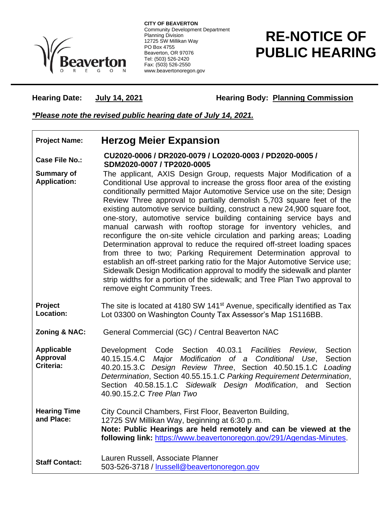

**CITY OF BEAVERTON** Community Development Department Planning Division 12725 SW Millikan Way PO Box 4755 Beaverton, OR 97076 Tel: (503) 526-2420 Fax: (503) 526-2550 www.beavertonoregon.gov

## **RE-NOTICE OF PUBLIC HEARING**

**Hearing Date: July 14, 2021 Hearing Body: Planning Commission** 

## *\*Please note the revised public hearing date of July 14, 2021.*

## **Project Name: Herzog Meier Expansion**

**Case File No.: CU2020-0006 / DR2020-0079 / LO2020-0003 / PD2020-0005 / SDM2020-0007 / TP2020-0005**

- **Summary of Application:** The applicant, AXIS Design Group, requests Major Modification of a Conditional Use approval to increase the gross floor area of the existing conditionally permitted Major Automotive Service use on the site; Design Review Three approval to partially demolish 5,703 square feet of the existing automotive service building, construct a new 24,900 square foot, one-story, automotive service building containing service bays and manual carwash with rooftop storage for inventory vehicles, and reconfigure the on-site vehicle circulation and parking areas; Loading Determination approval to reduce the required off-street loading spaces from three to two; Parking Requirement Determination approval to establish an off-street parking ratio for the Major Automotive Service use; Sidewalk Design Modification approval to modify the sidewalk and planter strip widths for a portion of the sidewalk; and Tree Plan Two approval to remove eight Community Trees.
- **Project Location:** The site is located at 4180 SW 141<sup>st</sup> Avenue, specifically identified as Tax Lot 03300 on Washington County Tax Assessor's Map 1S116BB.
- **Zoning & NAC:** General Commercial (GC) / Central Beaverton NAC

**Applicable Approval Criteria:** Development Code Section 40.03.1 *Facilities Review*, Section 40.15.15.4.C *Major Modification of a Conditional Use*, Section 40.20.15.3.C *Design Review Three*, Section 40.50.15.1.C *Loading Determination*, Section 40.55.15.1.C *Parking Requirement Determination*, Section 40.58.15.1.C *Sidewalk Design Modification*, and Section 40.90.15.2.C *Tree Plan Two*

**Hearing Time and Place:** City Council Chambers, First Floor, Beaverton Building, 12725 SW Millikan Way, beginning at 6:30 p.m. **Note: Public Hearings are held remotely and can be viewed at the following link:** [https://www.beavertonoregon.gov/291/Agendas-Minutes.](https://www.beavertonoregon.gov/291/Agendas-Minutes)

**Staff Contact:** Lauren Russell, Associate Planner 503-526-3718 / [lrussell@beavertonoregon.gov](mailto:lrussell@beavertonoregon.gov)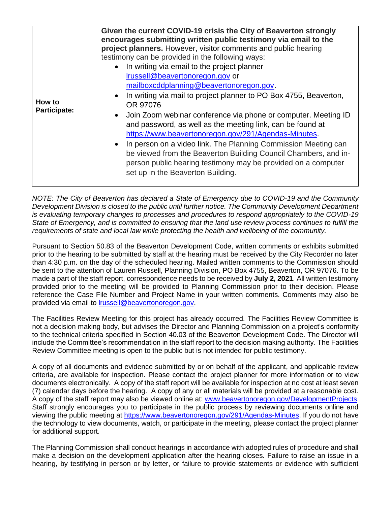| How to<br><b>Participate:</b> | Given the current COVID-19 crisis the City of Beaverton strongly<br>encourages submitting written public testimony via email to the<br>project planners. However, visitor comments and public hearing<br>testimony can be provided in the following ways:<br>• In writing via email to the project planner<br>Irussell@beavertonoregon.gov or<br>mailboxcddplanning@beavertonoregon.gov.<br>In writing via mail to project planner to PO Box 4755, Beaverton,<br>$\bullet$<br>OR 97076<br>Join Zoom webinar conference via phone or computer. Meeting ID<br>$\bullet$<br>and password, as well as the meeting link, can be found at<br>https://www.beavertonoregon.gov/291/Agendas-Minutes.<br>• In person on a video link. The Planning Commission Meeting can<br>be viewed from the Beaverton Building Council Chambers, and in-<br>person public hearing testimony may be provided on a computer<br>set up in the Beaverton Building. |
|-------------------------------|------------------------------------------------------------------------------------------------------------------------------------------------------------------------------------------------------------------------------------------------------------------------------------------------------------------------------------------------------------------------------------------------------------------------------------------------------------------------------------------------------------------------------------------------------------------------------------------------------------------------------------------------------------------------------------------------------------------------------------------------------------------------------------------------------------------------------------------------------------------------------------------------------------------------------------------|
|-------------------------------|------------------------------------------------------------------------------------------------------------------------------------------------------------------------------------------------------------------------------------------------------------------------------------------------------------------------------------------------------------------------------------------------------------------------------------------------------------------------------------------------------------------------------------------------------------------------------------------------------------------------------------------------------------------------------------------------------------------------------------------------------------------------------------------------------------------------------------------------------------------------------------------------------------------------------------------|

*NOTE: The City of Beaverton has declared a State of Emergency due to COVID-19 and the Community Development Division is closed to the public until further notice. The Community Development Department is evaluating temporary changes to processes and procedures to respond appropriately to the COVID-19 State of Emergency, and is committed to ensuring that the land use review process continues to fulfill the requirements of state and local law while protecting the health and wellbeing of the community.*

Pursuant to Section 50.83 of the Beaverton Development Code, written comments or exhibits submitted prior to the hearing to be submitted by staff at the hearing must be received by the City Recorder no later than 4:30 p.m. on the day of the scheduled hearing. Mailed written comments to the Commission should be sent to the attention of Lauren Russell, Planning Division, PO Box 4755, Beaverton, OR 97076. To be made a part of the staff report, correspondence needs to be received by **July 2, 2021**. All written testimony provided prior to the meeting will be provided to Planning Commission prior to their decision. Please reference the Case File Number and Project Name in your written comments. Comments may also be provided via email to [lrussell@beavertonoregon.gov.](mailto:lrussell@beavertonoregon.gov)

The Facilities Review Meeting for this project has already occurred. The Facilities Review Committee is not a decision making body, but advises the Director and Planning Commission on a project's conformity to the technical criteria specified in Section 40.03 of the Beaverton Development Code. The Director will include the Committee's recommendation in the staff report to the decision making authority. The Facilities Review Committee meeting is open to the public but is not intended for public testimony.

A copy of all documents and evidence submitted by or on behalf of the applicant, and applicable review criteria, are available for inspection. Please contact the project planner for more information or to view documents electronically. A copy of the staff report will be available for inspection at no cost at least seven (7) calendar days before the hearing. A copy of any or all materials will be provided at a reasonable cost. A copy of the staff report may also be viewed online at: [www.beavertonoregon.gov/DevelopmentProjects](http://www.beavertonoregon.gov/DevelopmentProjects) Staff strongly encourages you to participate in the public process by reviewing documents online and viewing the public meeting at [https://www.beavertonoregon.gov/291/Agendas-Minutes.](https://www.beavertonoregon.gov/291/Agendas-Minutes) If you do not have the technology to view documents, watch, or participate in the meeting, please contact the project planner for additional support.

The Planning Commission shall conduct hearings in accordance with adopted rules of procedure and shall make a decision on the development application after the hearing closes. Failure to raise an issue in a hearing, by testifying in person or by letter, or failure to provide statements or evidence with sufficient